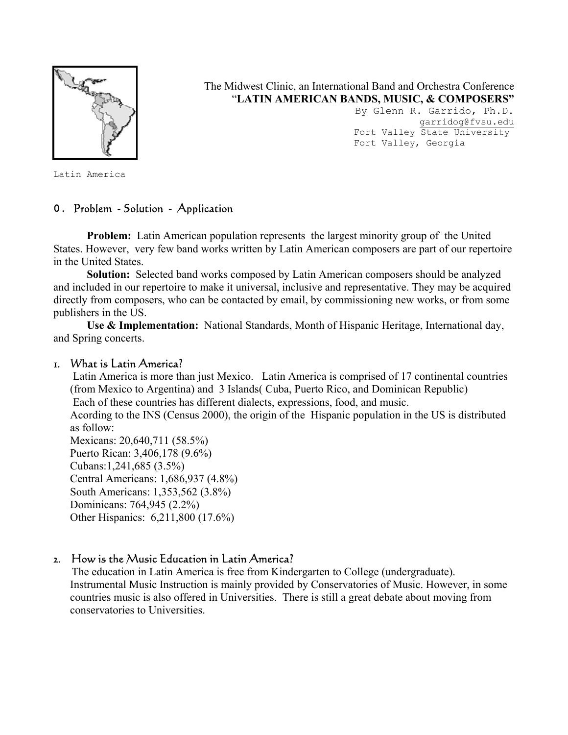

The Midwest Clinic, an International Band and Orchestra Conference "**LATIN AMERICAN BANDS, MUSIC, & COMPOSERS"** 

> By Glenn R. Garrido, Ph.D. garridog@fvsu.edu Fort Valley State University Fort Valley, Georgia

Latin America

### **0.** Problem - Solution - Application

**Problem:** Latin American population represents the largest minority group of the United States. However, very few band works written by Latin American composers are part of our repertoire in the United States.

 **Solution:** Selected band works composed by Latin American composers should be analyzed and included in our repertoire to make it universal, inclusive and representative. They may be acquired directly from composers, who can be contacted by email, by commissioning new works, or from some publishers in the US.

 **Use & Implementation:** National Standards, Month of Hispanic Heritage, International day, and Spring concerts.

#### 1. What is Latin America?

 Latin America is more than just Mexico. Latin America is comprised of 17 continental countries (from Mexico to Argentina) and 3 Islands( Cuba, Puerto Rico, and Dominican Republic) Each of these countries has different dialects, expressions, food, and music.

Acording to the INS (Census 2000), the origin of the Hispanic population in the US is distributed as follow:

Mexicans: 20,640,711 (58.5%) Puerto Rican: 3,406,178 (9.6%) Cubans:1,241,685 (3.5%) Central Americans: 1,686,937 (4.8%) South Americans: 1,353,562 (3.8%) Dominicans: 764,945 (2.2%) Other Hispanics: 6,211,800 (17.6%)

### 2. How is the Music Education in Latin America?

 The education in Latin America is free from Kindergarten to College (undergraduate). Instrumental Music Instruction is mainly provided by Conservatories of Music. However, in some countries music is also offered in Universities. There is still a great debate about moving from conservatories to Universities.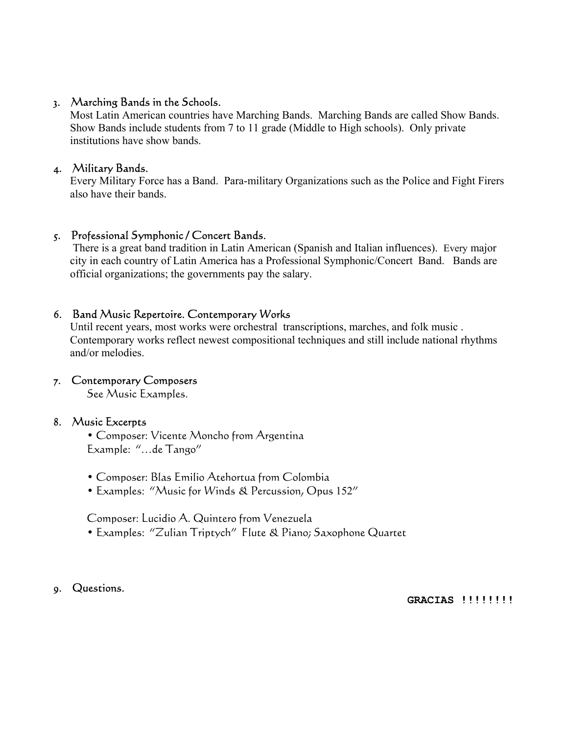## 3. Marching Bands in the Schools.

Most Latin American countries have Marching Bands. Marching Bands are called Show Bands. Show Bands include students from 7 to 11 grade (Middle to High schools). Only private institutions have show bands.

# 4. Military Bands.

Every Military Force has a Band. Para-military Organizations such as the Police and Fight Firers also have their bands.

## 5. Professional Symphonic / Concert Bands.

 There is a great band tradition in Latin American (Spanish and Italian influences). Every major city in each country of Latin America has a Professional Symphonic/Concert Band. Bands are official organizations; the governments pay the salary.

# 6. Band Music Repertoire. Contemporary Works

Until recent years, most works were orchestral transcriptions, marches, and folk music . Contemporary works reflect newest compositional techniques and still include national rhythms and/or melodies.

# 7. Contemporary Composers

See Music Examples.

### 8. Music Excerpts

 • Composer: Vicente Moncho from Argentina Example: "…de Tango"

- Composer: Blas Emilio Atehortua from Colombia
- Examples: "Music for Winds & Percussion, Opus 152"

Composer: Lucidio A. Quintero from Venezuela

• Examples: "Zulian Triptych" Flute & Piano; Saxophone Quartet

# 9. Questions.

#### **GRACIAS !!!!!!!!**